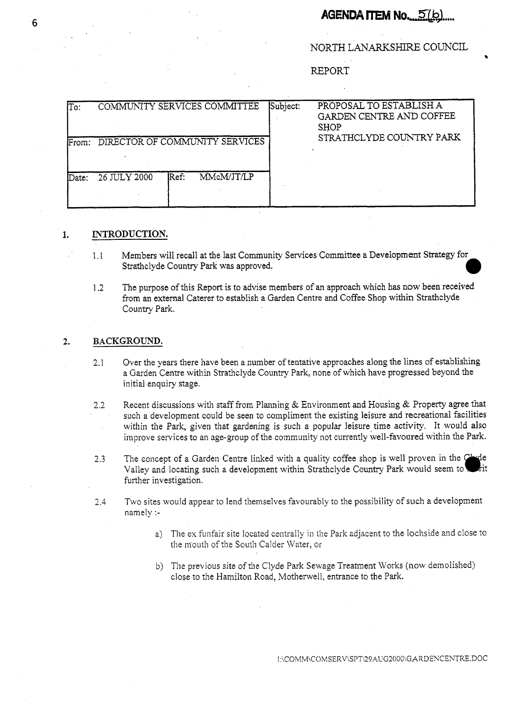# **AGENDA ITEM No....5(b)....**

NORTH LANARKSHIRE COUNCIL

REPORT

| $\sqrt{T}$ | COMMUNITY SERVICES COMMITTEE         | Subject: | PROPOSAL TO ESTABLISH A<br>GARDEN CENTRE AND COFFEE<br><b>SHOP</b><br>STRATHCLYDE COUNTRY PARK |
|------------|--------------------------------------|----------|------------------------------------------------------------------------------------------------|
|            | From: DIRECTOR OF COMMUNITY SERVICES |          |                                                                                                |
| lDate:     | Ref:<br>MMcM/JT/LP<br>26 JULY 2000   |          |                                                                                                |

## **1. INTRODUCTION.**

- 1.1 Members will recall at the last Community Services Committee a Development Strategy for Strathclyde Country Park was approved. *0*
- 1.2 The purpose of this Report **is** to advise members of an approach which has now been received from an external Caterer to establish a Garden Centre and Coffee Shop within Strathclyde Country **Park.**

# **2. BACKGROUND.**

- 2.1 Over the years there have been a number of tentative approaches along the lines of establishing a Garden Centre within Strathclyde Country Park, none of which have progressed beyond the initial enquiry stage.
- 2.2 Recent discussions with staff from Planning & Environment and Housing & Property agree that such a development could be seen to compliment the existing leisure and recreational facilities within the Park, given that gardening is such a popular leisure time activity. It would also improve services to an age-group of the community not currently well-favoured within the Park.
- 2.3 The concept of a Garden Centre linked with a quality coffee shop is well proven in the  $\mathbb{C}^1$ Valley and locating such a development within Strathclyde Country Park would seem to łπ further investigation.
- 2.4 Two sites would appear to lend themselves favourably to the possibility of such a development namely :
	- a) The ex funfair site located centrally in the Park adjacent to the lochside and close to the mouth of the South Calder Water, or
	- b) The previous site of the Clyde Park Sewage Treatment Works (now demolished) close to the Hamilton Road, Motherwell, entrance to the Park.

INCOMMNCOMSERV\SPT\29AUG2000\GARDENCENTRE.DOC